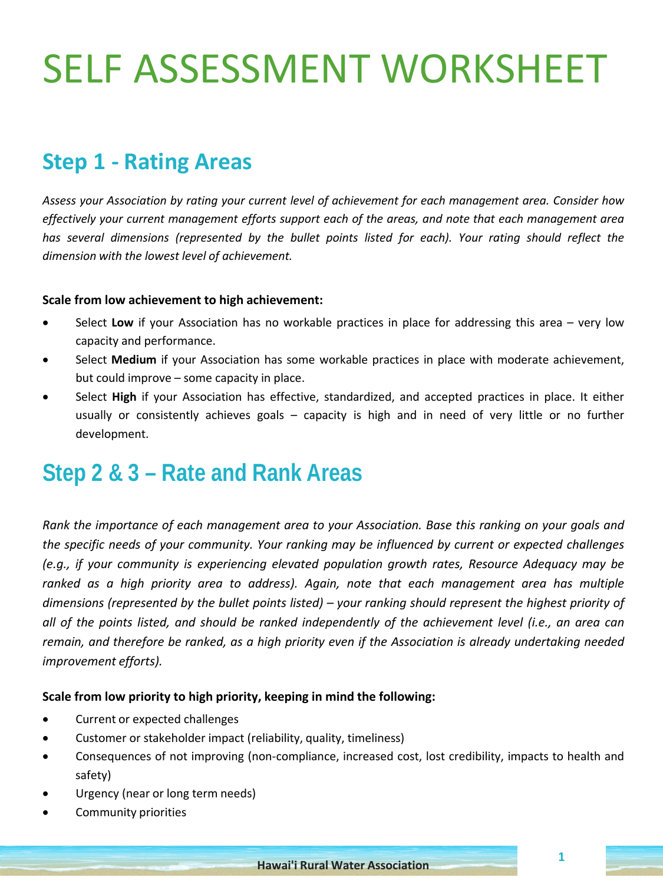## SELF ASSESSMENT WORKSHEET

### **Step 1 - Rating Areas**

*Assess your Association by rating your current level of achievement for each management area. Consider how effectively your current management efforts support each of the areas, and note that each management area has several dimensions (represented by the bullet points listed for each). Your rating should reflect the dimension with the lowest level of achievement.*

#### **Scale from low achievement to high achievement:**

- Select **Low** if your Association has no workable practices in place for addressing this area very low capacity and performance.
- Select Medium if your Association has some workable practices in place with moderate achievement, but could improve – some capacity in place.
- Select **High** if your Association has effective, standardized, and accepted practices in place. It either usually or consistently achieves goals – capacity is high and in need of very little or no further development.

### **Step 2 & 3 – Rate and Rank Areas**

*Rank the importance of each management area to your Association. Base this ranking on your goals and the specific needs of your community. Your ranking may be influenced by current or expected challenges (e.g., if your community is experiencing elevated population growth rates, Resource Adequacy may be ranked as a high priority area to address). Again, note that each management area has multiple dimensions (represented by the bullet points listed) – your ranking should represent the highest priority of* all of the points listed, and should be ranked independently of the achievement level (i.e., an area can *remain, and therefore be ranked, as a high priority even if the Association is already undertaking needed improvement efforts).*

#### **Scale from low priority to high priority, keeping in mind the following:**

- Current or expected challenges
- Customer or stakeholder impact (reliability, quality, timeliness)
- Consequences of not improving (non-compliance, increased cost, lost credibility, impacts to health and safety)
- Urgency (near or long term needs)
- Community priorities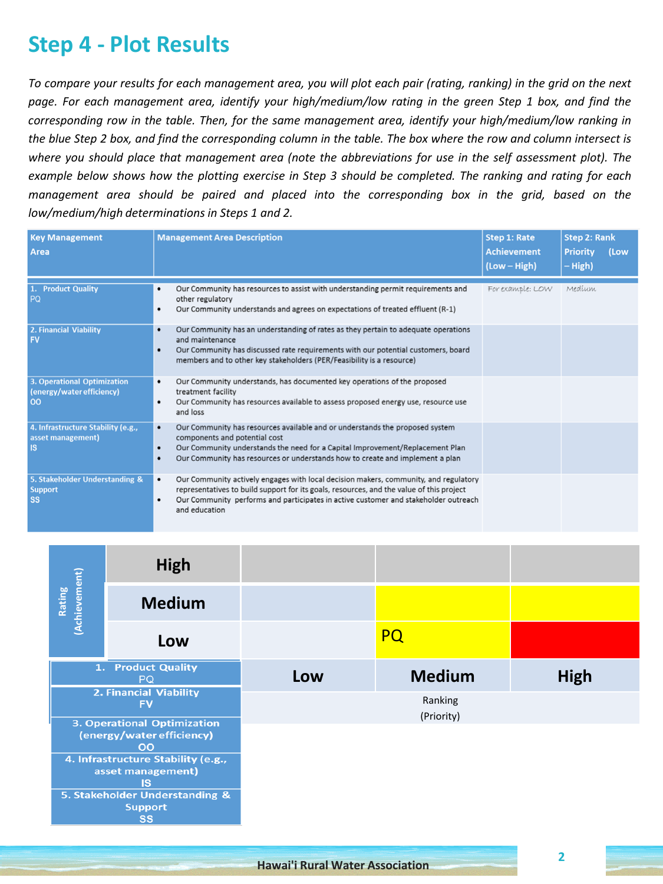### **Step 4 - Plot Results**

To compare your results for each management area, you will plot each pair (rating, ranking) in the grid on the next page. For each management area, identify your high/medium/low rating in the green Step 1 box, and find the *corresponding row in the table. Then, for the same management area, identify your high/medium/low ranking in* the blue Step 2 box, and find the corresponding column in the table. The box where the row and column intersect is where you should place that management area (note the abbreviations for use in the self assessment plot). The example below shows how the plotting exercise in Step 3 should be completed. The ranking and rating for each *management area should be paired and placed into the corresponding box in the grid, based on the low/medium/high determinations in Steps 1 and 2.*

| <b>Key Management</b><br>Area                                  | <b>Management Area Description</b>                                                                                                                                                                                                                                                                             | <b>Step 1: Rate</b><br><b>Achievement</b><br>(Low - High) | <b>Step 2: Rank</b><br><b>Priority</b><br>(Low<br>– High) |
|----------------------------------------------------------------|----------------------------------------------------------------------------------------------------------------------------------------------------------------------------------------------------------------------------------------------------------------------------------------------------------------|-----------------------------------------------------------|-----------------------------------------------------------|
| 1. Product Quality<br>PQ                                       | Our Community has resources to assist with understanding permit requirements and<br>٠<br>other regulatory<br>Our Community understands and agrees on expectations of treated effluent (R-1)<br>٠                                                                                                               | For example: LOW                                          | Medium                                                    |
| 2. Financial Viability<br><b>FV</b>                            | Our Community has an understanding of rates as they pertain to adequate operations<br>٠<br>and maintenance<br>Our Community has discussed rate requirements with our potential customers, board<br>$\bullet$<br>members and to other key stakeholders (PER/Feasibility is a resource)                          |                                                           |                                                           |
| 3. Operational Optimization<br>(energy/water efficiency)<br>00 | Our Community understands, has documented key operations of the proposed<br>٠<br>treatment facility<br>Our Community has resources available to assess proposed energy use, resource use<br>٠<br>and loss                                                                                                      |                                                           |                                                           |
| 4. Infrastructure Stability (e.g.,<br>asset management)<br>IS  | Our Community has resources available and or understands the proposed system<br>$\bullet$<br>components and potential cost<br>Our Community understands the need for a Capital Improvement/Replacement Plan<br>$\bullet$<br>Our Community has resources or understands how to create and implement a plan<br>٠ |                                                           |                                                           |
| 5. Stakeholder Understanding &<br><b>Support</b><br><b>SS</b>  | Our Community actively engages with local decision makers, community, and regulatory<br>٠<br>representatives to build support for its goals, resources, and the value of this project<br>Our Community performs and participates in active customer and stakeholder outreach<br>٠<br>and education             |                                                           |                                                           |

|                                                                              | <b>High</b>                     |     |                       |             |
|------------------------------------------------------------------------------|---------------------------------|-----|-----------------------|-------------|
| (Achievement)<br>Rating                                                      | <b>Medium</b>                   |     |                       |             |
|                                                                              | Low                             |     | <b>PQ</b>             |             |
|                                                                              | 1. Product Quality<br><b>PQ</b> | Low | <b>Medium</b>         | <b>High</b> |
| 2. Financial Viability<br><b>FV</b>                                          |                                 |     | Ranking<br>(Priority) |             |
| <b>3. Operational Optimization</b><br>(energy/water efficiency)<br><b>OO</b> |                                 |     |                       |             |
| 4. Infrastructure Stability (e.g.,<br>asset management)<br><b>IS</b>         |                                 |     |                       |             |
| 5. Stakeholder Understanding &<br><b>Support</b><br><b>SS</b>                |                                 |     |                       |             |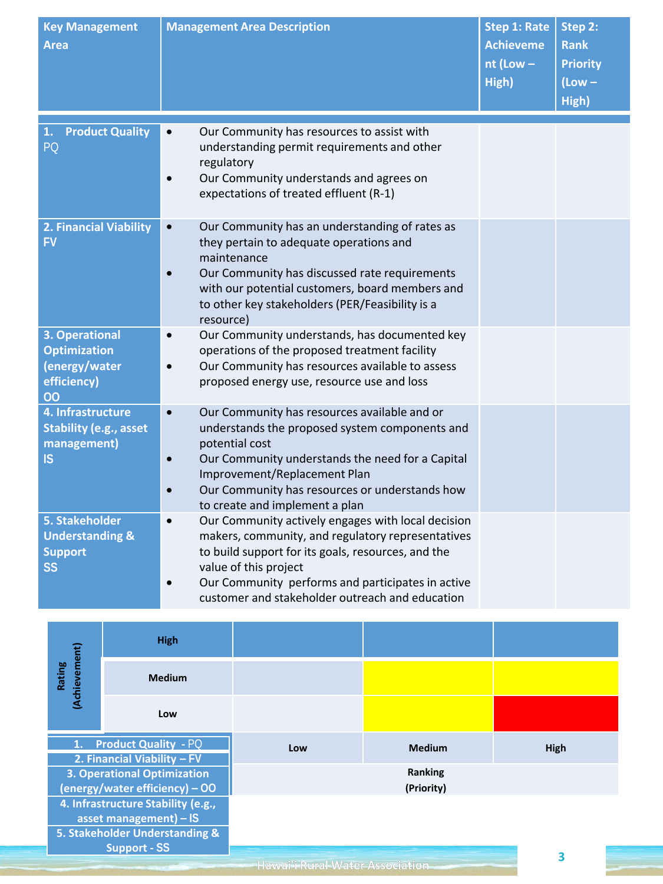| <b>Key Management</b><br><b>Area</b>                                               | <b>Management Area Description</b>                                                                                                                                                                                                                                                                                              | <b>Step 1: Rate</b><br><b>Achieveme</b><br>$nt$ (Low $-$<br>High) | Step 2:<br><b>Rank</b><br><b>Priority</b><br>$(Low -$<br>High) |
|------------------------------------------------------------------------------------|---------------------------------------------------------------------------------------------------------------------------------------------------------------------------------------------------------------------------------------------------------------------------------------------------------------------------------|-------------------------------------------------------------------|----------------------------------------------------------------|
| <b>Product Quality</b><br>1.<br>PQ                                                 | Our Community has resources to assist with<br>$\bullet$<br>understanding permit requirements and other<br>regulatory<br>Our Community understands and agrees on<br>$\bullet$<br>expectations of treated effluent (R-1)                                                                                                          |                                                                   |                                                                |
| 2. Financial Viability<br><b>FV</b>                                                | Our Community has an understanding of rates as<br>$\bullet$<br>they pertain to adequate operations and<br>maintenance<br>Our Community has discussed rate requirements<br>with our potential customers, board members and<br>to other key stakeholders (PER/Feasibility is a<br>resource)                                       |                                                                   |                                                                |
| 3. Operational<br><b>Optimization</b><br>(energy/water<br>efficiency)<br>00        | Our Community understands, has documented key<br>$\bullet$<br>operations of the proposed treatment facility<br>Our Community has resources available to assess<br>$\bullet$<br>proposed energy use, resource use and loss                                                                                                       |                                                                   |                                                                |
| 4. Infrastructure<br><b>Stability (e.g., asset</b><br>management)<br><b>IS</b>     | Our Community has resources available and or<br>$\bullet$<br>understands the proposed system components and<br>potential cost<br>Our Community understands the need for a Capital<br>$\bullet$<br>Improvement/Replacement Plan<br>Our Community has resources or understands how<br>$\bullet$<br>to create and implement a plan |                                                                   |                                                                |
| <b>5. Stakeholder</b><br><b>Understanding &amp;</b><br><b>Support</b><br><b>SS</b> | Our Community actively engages with local decision<br>$\bullet$<br>makers, community, and regulatory representatives<br>to build support for its goals, resources, and the<br>value of this project<br>Our Community performs and participates in active<br>$\bullet$<br>customer and stakeholder outreach and education        |                                                                   |                                                                |

|                                                                                                       | <b>High</b>   |     |                       |      |
|-------------------------------------------------------------------------------------------------------|---------------|-----|-----------------------|------|
| (Achievement)<br>Rating                                                                               | <b>Medium</b> |     |                       |      |
|                                                                                                       | Low           |     |                       |      |
| 1. Product Quality - PQ                                                                               |               | Low | <b>Medium</b>         | High |
| 2. Financial Viability - FV<br><b>3. Operational Optimization</b><br>$(energy/water efficiency) - OO$ |               |     | Ranking<br>(Priority) |      |
| 4. Infrastructure Stability (e.g.,<br>asset management) $-$ IS                                        |               |     |                       |      |
| 5. Stakeholder Understanding &<br>Support - SS                                                        |               |     |                       | כ    |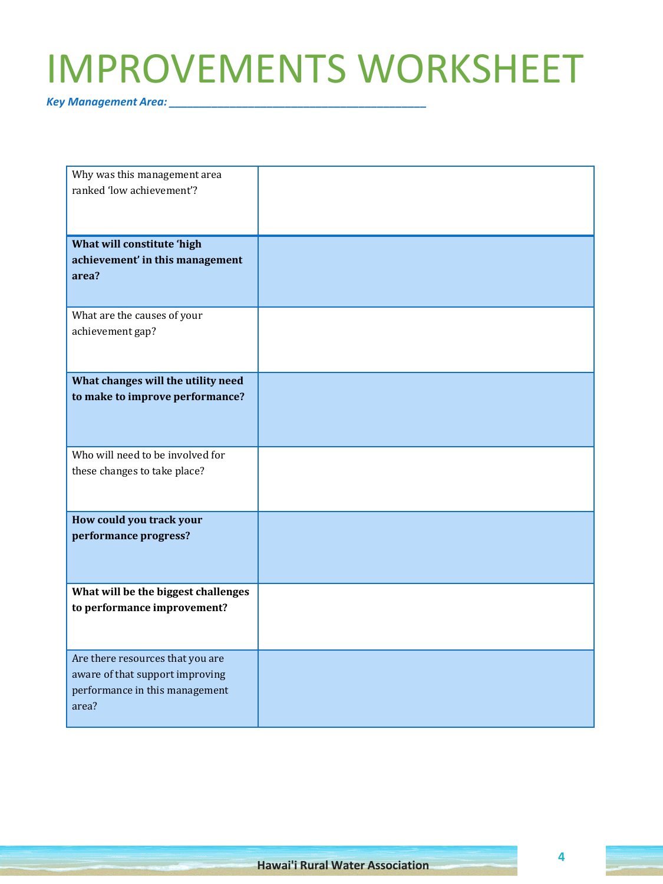## IMPROVEMENTS WORKSHEET

*Key Management Area: \_\_\_\_\_\_\_\_\_\_\_\_\_\_\_\_\_\_\_\_\_\_\_\_\_\_\_\_\_\_\_\_\_\_\_\_\_\_\_\_\_\_*

| Why was this management area        |  |
|-------------------------------------|--|
| ranked 'low achievement'?           |  |
|                                     |  |
|                                     |  |
| What will constitute 'high          |  |
| achievement' in this management     |  |
| area?                               |  |
|                                     |  |
| What are the causes of your         |  |
| achievement gap?                    |  |
|                                     |  |
|                                     |  |
| What changes will the utility need  |  |
| to make to improve performance?     |  |
|                                     |  |
|                                     |  |
| Who will need to be involved for    |  |
| these changes to take place?        |  |
|                                     |  |
|                                     |  |
| How could you track your            |  |
| performance progress?               |  |
|                                     |  |
|                                     |  |
| What will be the biggest challenges |  |
| to performance improvement?         |  |
|                                     |  |
|                                     |  |
| Are there resources that you are    |  |
| aware of that support improving     |  |
| performance in this management      |  |
| area?                               |  |
|                                     |  |